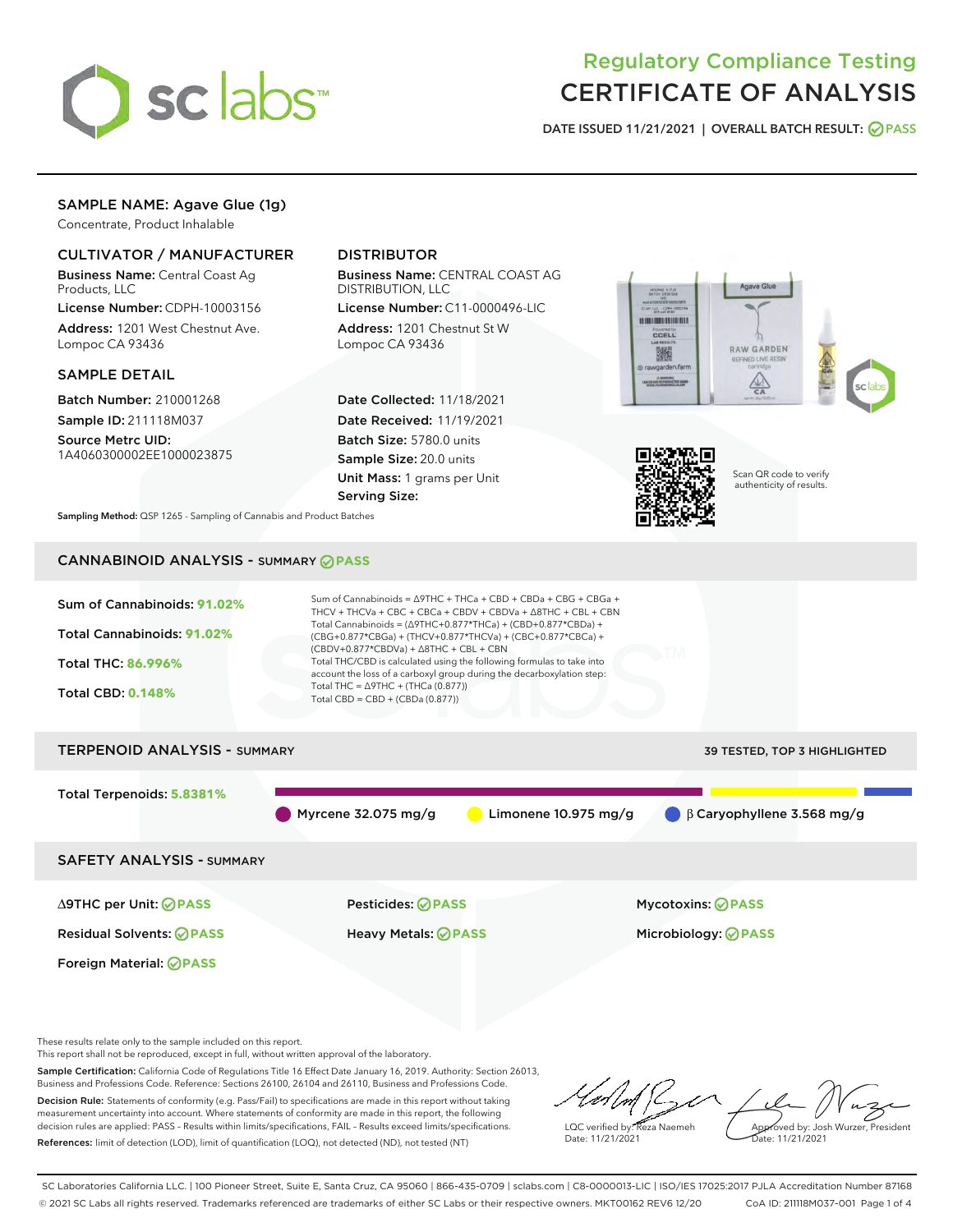

# Regulatory Compliance Testing CERTIFICATE OF ANALYSIS

DATE ISSUED 11/21/2021 | OVERALL BATCH RESULT: @ PASS

## SAMPLE NAME: Agave Glue (1g)

Concentrate, Product Inhalable

### CULTIVATOR / MANUFACTURER

Business Name: Central Coast Ag Products, LLC

License Number: CDPH-10003156 Address: 1201 West Chestnut Ave. Lompoc CA 93436

#### SAMPLE DETAIL

Batch Number: 210001268 Sample ID: 211118M037

Source Metrc UID: 1A4060300002EE1000023875

## DISTRIBUTOR

Business Name: CENTRAL COAST AG DISTRIBUTION, LLC

License Number: C11-0000496-LIC Address: 1201 Chestnut St W Lompoc CA 93436

Date Collected: 11/18/2021 Date Received: 11/19/2021 Batch Size: 5780.0 units Sample Size: 20.0 units Unit Mass: 1 grams per Unit Serving Size:





Scan QR code to verify authenticity of results.

Sampling Method: QSP 1265 - Sampling of Cannabis and Product Batches

## CANNABINOID ANALYSIS - SUMMARY **PASS**



These results relate only to the sample included on this report.

This report shall not be reproduced, except in full, without written approval of the laboratory.

Sample Certification: California Code of Regulations Title 16 Effect Date January 16, 2019. Authority: Section 26013, Business and Professions Code. Reference: Sections 26100, 26104 and 26110, Business and Professions Code. Decision Rule: Statements of conformity (e.g. Pass/Fail) to specifications are made in this report without taking

measurement uncertainty into account. Where statements of conformity are made in this report, the following decision rules are applied: PASS – Results within limits/specifications, FAIL – Results exceed limits/specifications. References: limit of detection (LOD), limit of quantification (LOQ), not detected (ND), not tested (NT)

LQC verified by: Reza Naemeh Date: 11/21/2021 Approved by: Josh Wurzer, President Date: 11/21/2021

SC Laboratories California LLC. | 100 Pioneer Street, Suite E, Santa Cruz, CA 95060 | 866-435-0709 | sclabs.com | C8-0000013-LIC | ISO/IES 17025:2017 PJLA Accreditation Number 87168 © 2021 SC Labs all rights reserved. Trademarks referenced are trademarks of either SC Labs or their respective owners. MKT00162 REV6 12/20 CoA ID: 211118M037-001 Page 1 of 4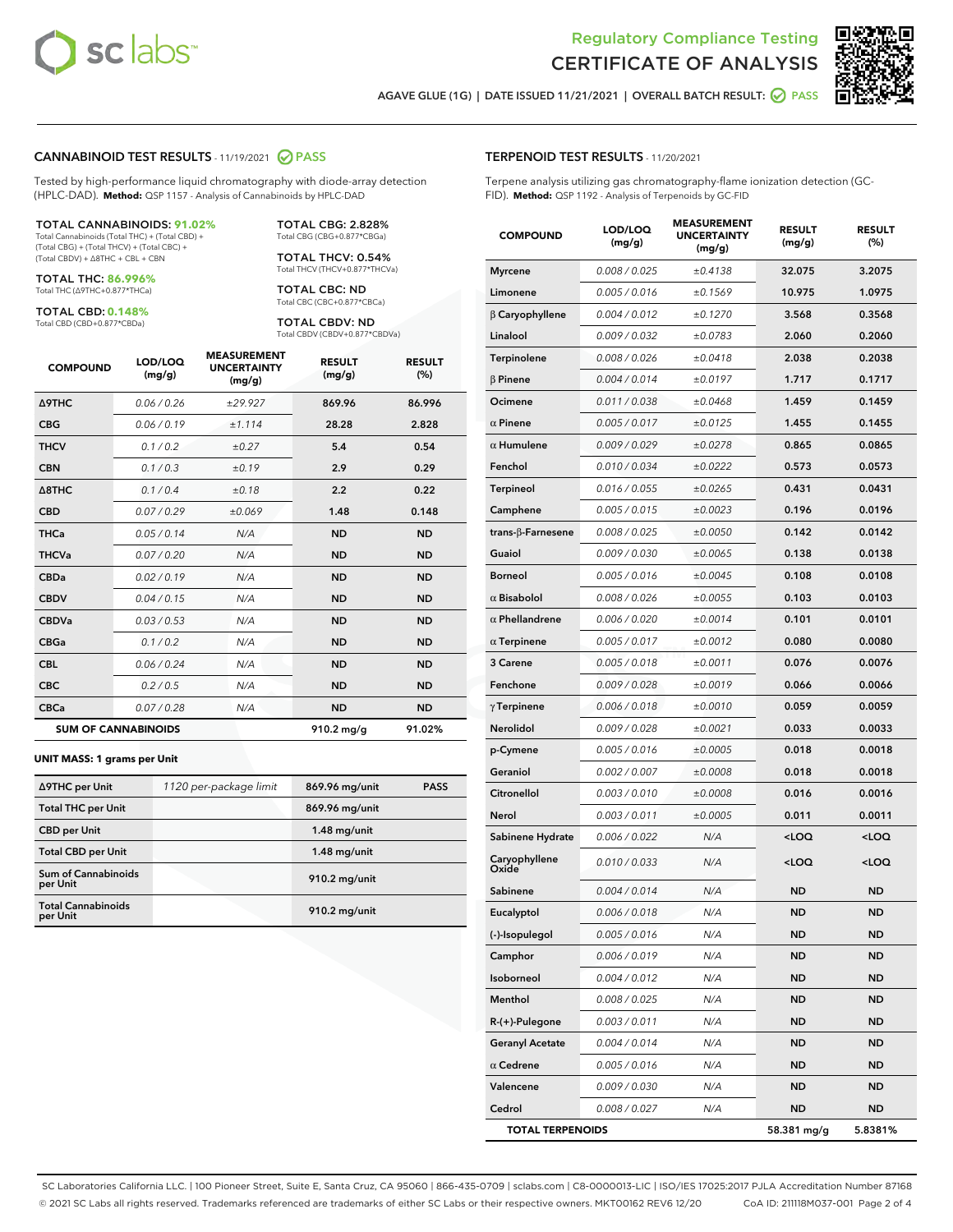

Terpene analysis utilizing gas chromatography-flame ionization detection (GC-



AGAVE GLUE (1G) | DATE ISSUED 11/21/2021 | OVERALL BATCH RESULT:  $\bigcirc$  PASS

TERPENOID TEST RESULTS - 11/20/2021

FID). **Method:** QSP 1192 - Analysis of Terpenoids by GC-FID

#### CANNABINOID TEST RESULTS - 11/19/2021 2 PASS

Tested by high-performance liquid chromatography with diode-array detection (HPLC-DAD). **Method:** QSP 1157 - Analysis of Cannabinoids by HPLC-DAD

#### TOTAL CANNABINOIDS: **91.02%**

Total Cannabinoids (Total THC) + (Total CBD) + (Total CBG) + (Total THCV) + (Total CBC) + (Total CBDV) + ∆8THC + CBL + CBN

TOTAL THC: **86.996%** Total THC (∆9THC+0.877\*THCa)

TOTAL CBD: **0.148%**

Total CBD (CBD+0.877\*CBDa)

TOTAL CBG: 2.828% Total CBG (CBG+0.877\*CBGa)

TOTAL THCV: 0.54% Total THCV (THCV+0.877\*THCVa)

TOTAL CBC: ND Total CBC (CBC+0.877\*CBCa)

TOTAL CBDV: ND Total CBDV (CBDV+0.877\*CBDVa)

| <b>COMPOUND</b>  | LOD/LOQ<br>(mg/g)          | <b>MEASUREMENT</b><br><b>UNCERTAINTY</b><br>(mg/g) | <b>RESULT</b><br>(mg/g) | <b>RESULT</b><br>(%) |
|------------------|----------------------------|----------------------------------------------------|-------------------------|----------------------|
| <b>A9THC</b>     | 0.06 / 0.26                | ±29.927                                            | 869.96                  | 86.996               |
| <b>CBG</b>       | 0.06/0.19                  | ±1.114                                             | 28.28                   | 2.828                |
| <b>THCV</b>      | 0.1 / 0.2                  | ±0.27                                              | 5.4                     | 0.54                 |
| <b>CBN</b>       | 0.1/0.3                    | ±0.19                                              | 2.9                     | 0.29                 |
| $\triangle$ 8THC | 0.1/0.4                    | ±0.18                                              | 2.2                     | 0.22                 |
| <b>CBD</b>       | 0.07/0.29                  | ±0.069                                             | 1.48                    | 0.148                |
| <b>THCa</b>      | 0.05/0.14                  | N/A                                                | <b>ND</b>               | <b>ND</b>            |
| <b>THCVa</b>     | 0.07/0.20                  | N/A                                                | <b>ND</b>               | <b>ND</b>            |
| <b>CBDa</b>      | 0.02/0.19                  | N/A                                                | <b>ND</b>               | <b>ND</b>            |
| <b>CBDV</b>      | 0.04 / 0.15                | N/A                                                | <b>ND</b>               | <b>ND</b>            |
| <b>CBDVa</b>     | 0.03/0.53                  | N/A                                                | <b>ND</b>               | <b>ND</b>            |
| <b>CBGa</b>      | 0.1 / 0.2                  | N/A                                                | <b>ND</b>               | <b>ND</b>            |
| <b>CBL</b>       | 0.06 / 0.24                | N/A                                                | <b>ND</b>               | <b>ND</b>            |
| <b>CBC</b>       | 0.2 / 0.5                  | N/A                                                | <b>ND</b>               | <b>ND</b>            |
| <b>CBCa</b>      | 0.07/0.28                  | N/A                                                | <b>ND</b>               | <b>ND</b>            |
|                  | <b>SUM OF CANNABINOIDS</b> |                                                    | $910.2 \,\mathrm{mg/g}$ | 91.02%               |

#### **UNIT MASS: 1 grams per Unit**

| ∆9THC per Unit                         | 1120 per-package limit | 869.96 mg/unit | <b>PASS</b> |
|----------------------------------------|------------------------|----------------|-------------|
| <b>Total THC per Unit</b>              |                        | 869.96 mg/unit |             |
| <b>CBD per Unit</b>                    |                        | $1.48$ mg/unit |             |
| <b>Total CBD per Unit</b>              |                        | $1.48$ mg/unit |             |
| <b>Sum of Cannabinoids</b><br>per Unit |                        | 910.2 mg/unit  |             |
| <b>Total Cannabinoids</b><br>per Unit  |                        | 910.2 mg/unit  |             |

| <b>COMPOUND</b>         | LOD/LOQ<br>(mg/g) | <b>MEASUREMENT</b><br><b>UNCERTAINTY</b><br>(mg/g) | <b>RESULT</b><br>(mg/g)                         | <b>RESULT</b><br>(%) |
|-------------------------|-------------------|----------------------------------------------------|-------------------------------------------------|----------------------|
| <b>Myrcene</b>          | 0.008 / 0.025     | ±0.4138                                            | 32.075                                          | 3.2075               |
| Limonene                | 0.005 / 0.016     | ±0.1569                                            | 10.975                                          | 1.0975               |
| $\beta$ Caryophyllene   | 0.004 / 0.012     | ±0.1270                                            | 3.568                                           | 0.3568               |
| Linalool                | 0.009 / 0.032     | ±0.0783                                            | 2.060                                           | 0.2060               |
| Terpinolene             | 0.008 / 0.026     | ±0.0418                                            | 2.038                                           | 0.2038               |
| $\beta$ Pinene          | 0.004 / 0.014     | ±0.0197                                            | 1.717                                           | 0.1717               |
| Ocimene                 | 0.011 / 0.038     | ±0.0468                                            | 1.459                                           | 0.1459               |
| $\alpha$ Pinene         | 0.005 / 0.017     | ±0.0125                                            | 1.455                                           | 0.1455               |
| $\alpha$ Humulene       | 0.009 / 0.029     | ±0.0278                                            | 0.865                                           | 0.0865               |
| Fenchol                 | 0.010 / 0.034     | ±0.0222                                            | 0.573                                           | 0.0573               |
| Terpineol               | 0.016 / 0.055     | ±0.0265                                            | 0.431                                           | 0.0431               |
| Camphene                | 0.005 / 0.015     | ±0.0023                                            | 0.196                                           | 0.0196               |
| trans-ß-Farnesene       | 0.008 / 0.025     | ±0.0050                                            | 0.142                                           | 0.0142               |
| Guaiol                  | 0.009 / 0.030     | ±0.0065                                            | 0.138                                           | 0.0138               |
| Borneol                 | 0.005 / 0.016     | ±0.0045                                            | 0.108                                           | 0.0108               |
| $\alpha$ Bisabolol      | 0.008 / 0.026     | ±0.0055                                            | 0.103                                           | 0.0103               |
| $\alpha$ Phellandrene   | 0.006 / 0.020     | ±0.0014                                            | 0.101                                           | 0.0101               |
| $\alpha$ Terpinene      | 0.005 / 0.017     | ±0.0012                                            | 0.080                                           | 0.0080               |
| 3 Carene                | 0.005 / 0.018     | ±0.0011                                            | 0.076                                           | 0.0076               |
| Fenchone                | 0.009 / 0.028     | ±0.0019                                            | 0.066                                           | 0.0066               |
| $\gamma$ Terpinene      | 0.006 / 0.018     | ±0.0010                                            | 0.059                                           | 0.0059               |
| Nerolidol               | 0.009 / 0.028     | ±0.0021                                            | 0.033                                           | 0.0033               |
| p-Cymene                | 0.005 / 0.016     | ±0.0005                                            | 0.018                                           | 0.0018               |
| Geraniol                | 0.002 / 0.007     | ±0.0008                                            | 0.018                                           | 0.0018               |
| Citronellol             | 0.003 / 0.010     | ±0.0008                                            | 0.016                                           | 0.0016               |
| Nerol                   | 0.003 / 0.011     | ±0.0005                                            | 0.011                                           | 0.0011               |
| Sabinene Hydrate        | 0.006 / 0.022     | N/A                                                | <loq< th=""><th><loq< th=""></loq<></th></loq<> | <loq< th=""></loq<>  |
| Caryophyllene<br>Oxide  | 0.010 / 0.033     | N/A                                                | <loq< th=""><th><loq< th=""></loq<></th></loq<> | <loq< th=""></loq<>  |
| Sabinene                | 0.004 / 0.014     | N/A                                                | <b>ND</b>                                       | <b>ND</b>            |
| Eucalyptol              | 0.006 / 0.018     | N/A                                                | <b>ND</b>                                       | <b>ND</b>            |
| (-)-Isopulegol          | 0.005 / 0.016     | N/A                                                | ND                                              | ND                   |
| Camphor                 | 0.006 / 0.019     | N/A                                                | <b>ND</b>                                       | <b>ND</b>            |
| Isoborneol              | 0.004 / 0.012     | N/A                                                | ND                                              | ND                   |
| Menthol                 | 0.008 / 0.025     | N/A                                                | <b>ND</b>                                       | <b>ND</b>            |
| R-(+)-Pulegone          | 0.003 / 0.011     | N/A                                                | <b>ND</b>                                       | <b>ND</b>            |
| <b>Geranyl Acetate</b>  | 0.004 / 0.014     | N/A                                                | ND                                              | ND                   |
| $\alpha$ Cedrene        | 0.005 / 0.016     | N/A                                                | ND                                              | ND                   |
| Valencene               | 0.009 / 0.030     | N/A                                                | <b>ND</b>                                       | <b>ND</b>            |
| Cedrol                  | 0.008 / 0.027     | N/A                                                | <b>ND</b>                                       | ND                   |
| <b>TOTAL TERPENOIDS</b> |                   |                                                    | 58.381 mg/g                                     | 5.8381%              |

SC Laboratories California LLC. | 100 Pioneer Street, Suite E, Santa Cruz, CA 95060 | 866-435-0709 | sclabs.com | C8-0000013-LIC | ISO/IES 17025:2017 PJLA Accreditation Number 87168 © 2021 SC Labs all rights reserved. Trademarks referenced are trademarks of either SC Labs or their respective owners. MKT00162 REV6 12/20 CoA ID: 211118M037-001 Page 2 of 4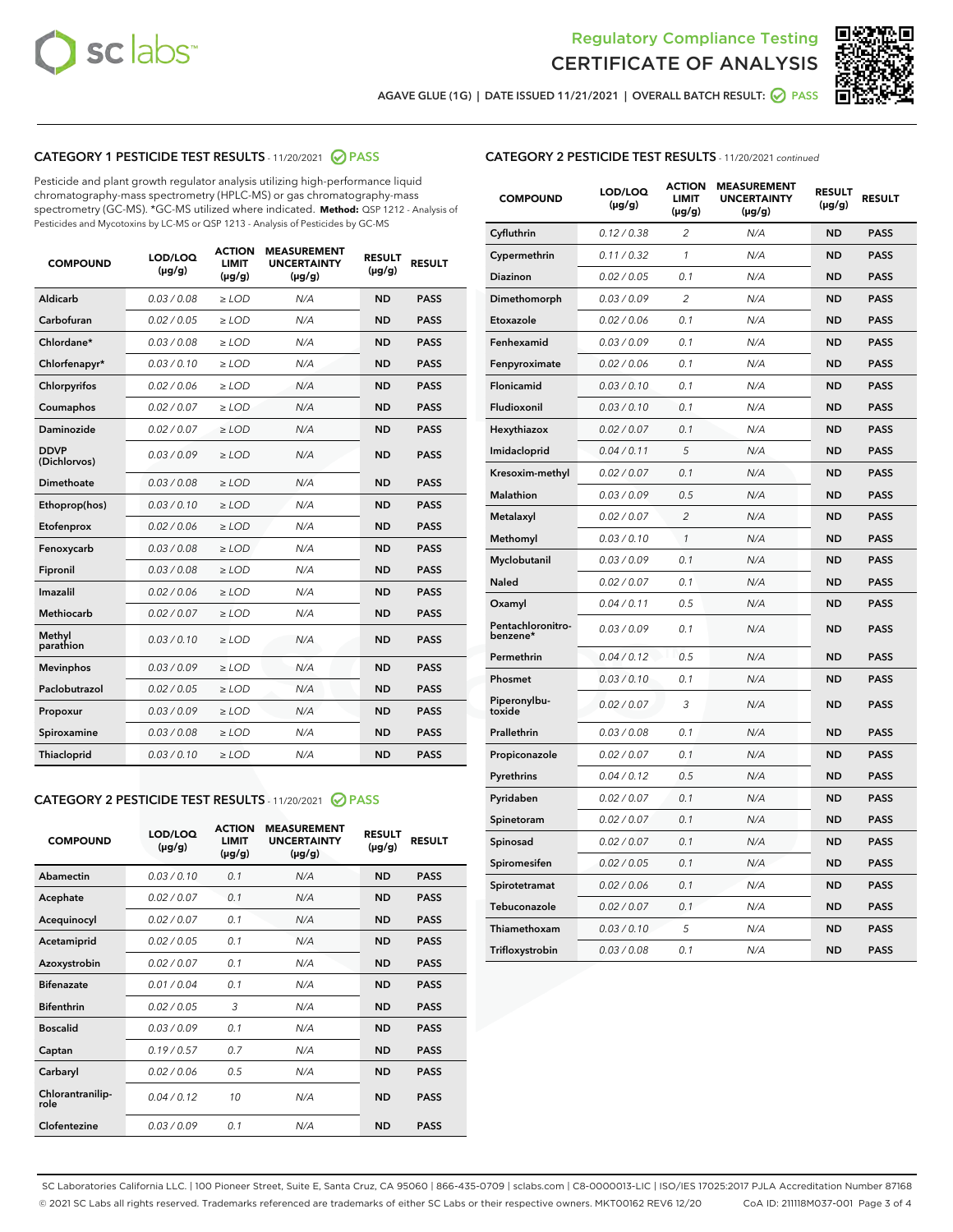



AGAVE GLUE (1G) | DATE ISSUED 11/21/2021 | OVERALL BATCH RESULT: 2 PASS

## CATEGORY 1 PESTICIDE TEST RESULTS - 11/20/2021 2 PASS

Pesticide and plant growth regulator analysis utilizing high-performance liquid chromatography-mass spectrometry (HPLC-MS) or gas chromatography-mass spectrometry (GC-MS). \*GC-MS utilized where indicated. **Method:** QSP 1212 - Analysis of Pesticides and Mycotoxins by LC-MS or QSP 1213 - Analysis of Pesticides by GC-MS

| <b>COMPOUND</b>             | LOD/LOQ<br>$(\mu g/g)$ | <b>ACTION</b><br><b>LIMIT</b><br>$(\mu g/g)$ | <b>MEASUREMENT</b><br><b>UNCERTAINTY</b><br>$(\mu g/g)$ | <b>RESULT</b><br>$(\mu g/g)$ | <b>RESULT</b> |
|-----------------------------|------------------------|----------------------------------------------|---------------------------------------------------------|------------------------------|---------------|
| Aldicarb                    | 0.03 / 0.08            | $\ge$ LOD                                    | N/A                                                     | <b>ND</b>                    | <b>PASS</b>   |
| Carbofuran                  | 0.02 / 0.05            | $\ge$ LOD                                    | N/A                                                     | <b>ND</b>                    | <b>PASS</b>   |
| Chlordane*                  | 0.03 / 0.08            | $\ge$ LOD                                    | N/A                                                     | <b>ND</b>                    | <b>PASS</b>   |
| Chlorfenapyr*               | 0.03/0.10              | $\ge$ LOD                                    | N/A                                                     | <b>ND</b>                    | <b>PASS</b>   |
| Chlorpyrifos                | 0.02 / 0.06            | $\ge$ LOD                                    | N/A                                                     | <b>ND</b>                    | <b>PASS</b>   |
| Coumaphos                   | 0.02 / 0.07            | $\ge$ LOD                                    | N/A                                                     | <b>ND</b>                    | <b>PASS</b>   |
| Daminozide                  | 0.02 / 0.07            | $\ge$ LOD                                    | N/A                                                     | <b>ND</b>                    | <b>PASS</b>   |
| <b>DDVP</b><br>(Dichlorvos) | 0.03/0.09              | $>$ LOD                                      | N/A                                                     | <b>ND</b>                    | <b>PASS</b>   |
| Dimethoate                  | 0.03 / 0.08            | $\ge$ LOD                                    | N/A                                                     | <b>ND</b>                    | <b>PASS</b>   |
| Ethoprop(hos)               | 0.03/0.10              | $>$ LOD                                      | N/A                                                     | <b>ND</b>                    | <b>PASS</b>   |
| Etofenprox                  | 0.02 / 0.06            | $\ge$ LOD                                    | N/A                                                     | <b>ND</b>                    | <b>PASS</b>   |
| Fenoxycarb                  | 0.03 / 0.08            | $\ge$ LOD                                    | N/A                                                     | <b>ND</b>                    | <b>PASS</b>   |
| Fipronil                    | 0.03 / 0.08            | $\ge$ LOD                                    | N/A                                                     | <b>ND</b>                    | <b>PASS</b>   |
| Imazalil                    | 0.02 / 0.06            | $>$ LOD                                      | N/A                                                     | <b>ND</b>                    | <b>PASS</b>   |
| <b>Methiocarb</b>           | 0.02 / 0.07            | $\ge$ LOD                                    | N/A                                                     | <b>ND</b>                    | <b>PASS</b>   |
| Methyl<br>parathion         | 0.03/0.10              | $\ge$ LOD                                    | N/A                                                     | <b>ND</b>                    | <b>PASS</b>   |
| <b>Mevinphos</b>            | 0.03/0.09              | $\ge$ LOD                                    | N/A                                                     | <b>ND</b>                    | <b>PASS</b>   |
| Paclobutrazol               | 0.02 / 0.05            | $>$ LOD                                      | N/A                                                     | <b>ND</b>                    | <b>PASS</b>   |
| Propoxur                    | 0.03/0.09              | $\ge$ LOD                                    | N/A                                                     | <b>ND</b>                    | <b>PASS</b>   |
| Spiroxamine                 | 0.03 / 0.08            | $\ge$ LOD                                    | N/A                                                     | <b>ND</b>                    | <b>PASS</b>   |
| Thiacloprid                 | 0.03/0.10              | $\ge$ LOD                                    | N/A                                                     | <b>ND</b>                    | <b>PASS</b>   |

#### CATEGORY 2 PESTICIDE TEST RESULTS - 11/20/2021 @ PASS

| <b>COMPOUND</b>          | LOD/LOQ<br>$(\mu g/g)$ | <b>ACTION</b><br><b>LIMIT</b><br>$(\mu g/g)$ | <b>MEASUREMENT</b><br><b>UNCERTAINTY</b><br>$(\mu g/g)$ | <b>RESULT</b><br>$(\mu g/g)$ | <b>RESULT</b> |
|--------------------------|------------------------|----------------------------------------------|---------------------------------------------------------|------------------------------|---------------|
| Abamectin                | 0.03/0.10              | 0.1                                          | N/A                                                     | <b>ND</b>                    | <b>PASS</b>   |
| Acephate                 | 0.02/0.07              | 0.1                                          | N/A                                                     | <b>ND</b>                    | <b>PASS</b>   |
| Acequinocyl              | 0.02/0.07              | 0.1                                          | N/A                                                     | <b>ND</b>                    | <b>PASS</b>   |
| Acetamiprid              | 0.02/0.05              | 0.1                                          | N/A                                                     | <b>ND</b>                    | <b>PASS</b>   |
| Azoxystrobin             | 0 02 / 0 07            | 0.1                                          | N/A                                                     | <b>ND</b>                    | <b>PASS</b>   |
| <b>Bifenazate</b>        | 0.01/0.04              | 0.1                                          | N/A                                                     | <b>ND</b>                    | <b>PASS</b>   |
| <b>Bifenthrin</b>        | 0.02 / 0.05            | 3                                            | N/A                                                     | <b>ND</b>                    | <b>PASS</b>   |
| <b>Boscalid</b>          | 0.03/0.09              | 0.1                                          | N/A                                                     | <b>ND</b>                    | <b>PASS</b>   |
| Captan                   | 0.19/0.57              | 0.7                                          | N/A                                                     | <b>ND</b>                    | <b>PASS</b>   |
| Carbaryl                 | 0.02/0.06              | 0.5                                          | N/A                                                     | <b>ND</b>                    | <b>PASS</b>   |
| Chlorantranilip-<br>role | 0.04/0.12              | 10                                           | N/A                                                     | <b>ND</b>                    | <b>PASS</b>   |
| Clofentezine             | 0.03/0.09              | 0.1                                          | N/A                                                     | <b>ND</b>                    | <b>PASS</b>   |

#### CATEGORY 2 PESTICIDE TEST RESULTS - 11/20/2021 continued

| <b>COMPOUND</b>               | LOD/LOQ<br>(µg/g) | <b>ACTION</b><br>LIMIT<br>$(\mu g/g)$ | <b>MEASUREMENT</b><br><b>UNCERTAINTY</b><br>(µg/g) | <b>RESULT</b><br>(µg/g) | <b>RESULT</b> |
|-------------------------------|-------------------|---------------------------------------|----------------------------------------------------|-------------------------|---------------|
| Cyfluthrin                    | 0.12 / 0.38       | 2                                     | N/A                                                | ND                      | <b>PASS</b>   |
| Cypermethrin                  | 0.11 / 0.32       | 1                                     | N/A                                                | ND                      | <b>PASS</b>   |
| Diazinon                      | 0.02 / 0.05       | 0.1                                   | N/A                                                | ND                      | PASS          |
| Dimethomorph                  | 0.03 / 0.09       | $\overline{2}$                        | N/A                                                | <b>ND</b>               | <b>PASS</b>   |
| Etoxazole                     | 0.02 / 0.06       | 0.1                                   | N/A                                                | ND                      | <b>PASS</b>   |
| Fenhexamid                    | 0.03 / 0.09       | 0.1                                   | N/A                                                | ND                      | <b>PASS</b>   |
| Fenpyroximate                 | 0.02 / 0.06       | 0.1                                   | N/A                                                | <b>ND</b>               | <b>PASS</b>   |
| Flonicamid                    | 0.03 / 0.10       | 0.1                                   | N/A                                                | <b>ND</b>               | <b>PASS</b>   |
| Fludioxonil                   | 0.03 / 0.10       | 0.1                                   | N/A                                                | <b>ND</b>               | <b>PASS</b>   |
| Hexythiazox                   | 0.02 / 0.07       | 0.1                                   | N/A                                                | <b>ND</b>               | PASS          |
| Imidacloprid                  | 0.04 / 0.11       | 5                                     | N/A                                                | <b>ND</b>               | <b>PASS</b>   |
| Kresoxim-methyl               | 0.02 / 0.07       | 0.1                                   | N/A                                                | ND                      | <b>PASS</b>   |
| Malathion                     | 0.03 / 0.09       | 0.5                                   | N/A                                                | <b>ND</b>               | <b>PASS</b>   |
| Metalaxyl                     | 0.02 / 0.07       | $\overline{c}$                        | N/A                                                | <b>ND</b>               | <b>PASS</b>   |
| Methomyl                      | 0.03 / 0.10       | 1                                     | N/A                                                | ND                      | <b>PASS</b>   |
| Myclobutanil                  | 0.03/0.09         | 0.1                                   | N/A                                                | <b>ND</b>               | <b>PASS</b>   |
| Naled                         | 0.02 / 0.07       | 0.1                                   | N/A                                                | ND                      | <b>PASS</b>   |
| Oxamyl                        | 0.04 / 0.11       | 0.5                                   | N/A                                                | ND                      | <b>PASS</b>   |
| Pentachloronitro-<br>benzene* | 0.03 / 0.09       | 0.1                                   | N/A                                                | ND                      | <b>PASS</b>   |
| Permethrin                    | 0.04/0.12         | 0.5                                   | N/A                                                | <b>ND</b>               | <b>PASS</b>   |
| Phosmet                       | 0.03 / 0.10       | 0.1                                   | N/A                                                | ND                      | PASS          |
| Piperonylbu-<br>toxide        | 0.02 / 0.07       | 3                                     | N/A                                                | <b>ND</b>               | <b>PASS</b>   |
| Prallethrin                   | 0.03 / 0.08       | 0.1                                   | N/A                                                | <b>ND</b>               | <b>PASS</b>   |
| Propiconazole                 | 0.02 / 0.07       | 0.1                                   | N/A                                                | ND                      | <b>PASS</b>   |
| Pyrethrins                    | 0.04 / 0.12       | 0.5                                   | N/A                                                | ND                      | PASS          |
| Pyridaben                     | 0.02 / 0.07       | 0.1                                   | N/A                                                | <b>ND</b>               | <b>PASS</b>   |
| Spinetoram                    | 0.02 / 0.07       | 0.1                                   | N/A                                                | ND                      | <b>PASS</b>   |
| Spinosad                      | 0.02 / 0.07       | 0.1                                   | N/A                                                | ND                      | PASS          |
| Spiromesifen                  | 0.02 / 0.05       | 0.1                                   | N/A                                                | <b>ND</b>               | <b>PASS</b>   |
| Spirotetramat                 | 0.02 / 0.06       | 0.1                                   | N/A                                                | ND                      | <b>PASS</b>   |
| Tebuconazole                  | 0.02 / 0.07       | 0.1                                   | N/A                                                | ND                      | <b>PASS</b>   |
| Thiamethoxam                  | 0.03 / 0.10       | 5                                     | N/A                                                | <b>ND</b>               | <b>PASS</b>   |
| Trifloxystrobin               | 0.03 / 0.08       | 0.1                                   | N/A                                                | <b>ND</b>               | <b>PASS</b>   |

SC Laboratories California LLC. | 100 Pioneer Street, Suite E, Santa Cruz, CA 95060 | 866-435-0709 | sclabs.com | C8-0000013-LIC | ISO/IES 17025:2017 PJLA Accreditation Number 87168 © 2021 SC Labs all rights reserved. Trademarks referenced are trademarks of either SC Labs or their respective owners. MKT00162 REV6 12/20 CoA ID: 211118M037-001 Page 3 of 4